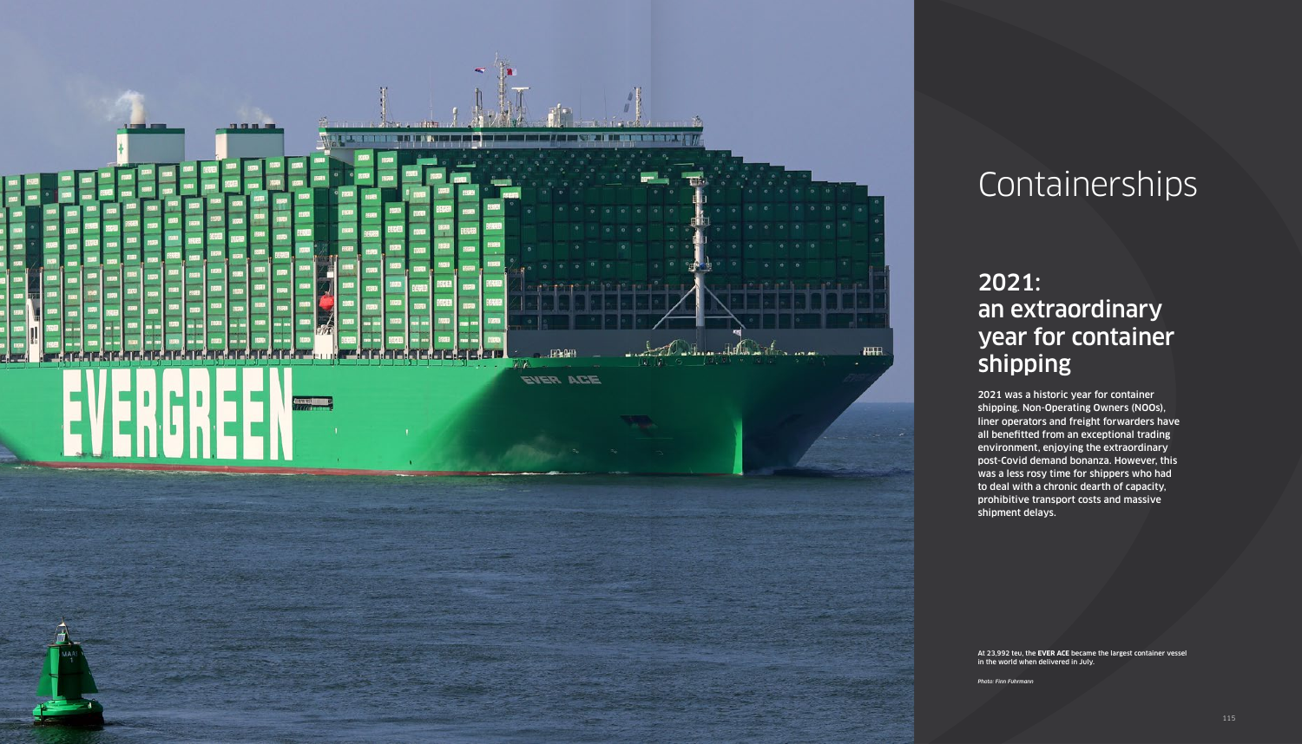# 2021: an extraordinary year for container shipping

2021 was a historic year for container shipping. Non-Operating Owners (NOOs), liner operators and freight forwarders have all benefitted from an exceptional trading environment, enjoying the extraordinary post-Covid demand bonanza. However, this was a less rosy time for shippers who had to deal with a chronic dearth of capacity, prohibitive transport costs and massive shipment delays.



# Containerships

At 23,992 teu, the **EVER ACE** became the largest container vessel in the world when delivered in July.

*Photo: Finn Fuhrmann*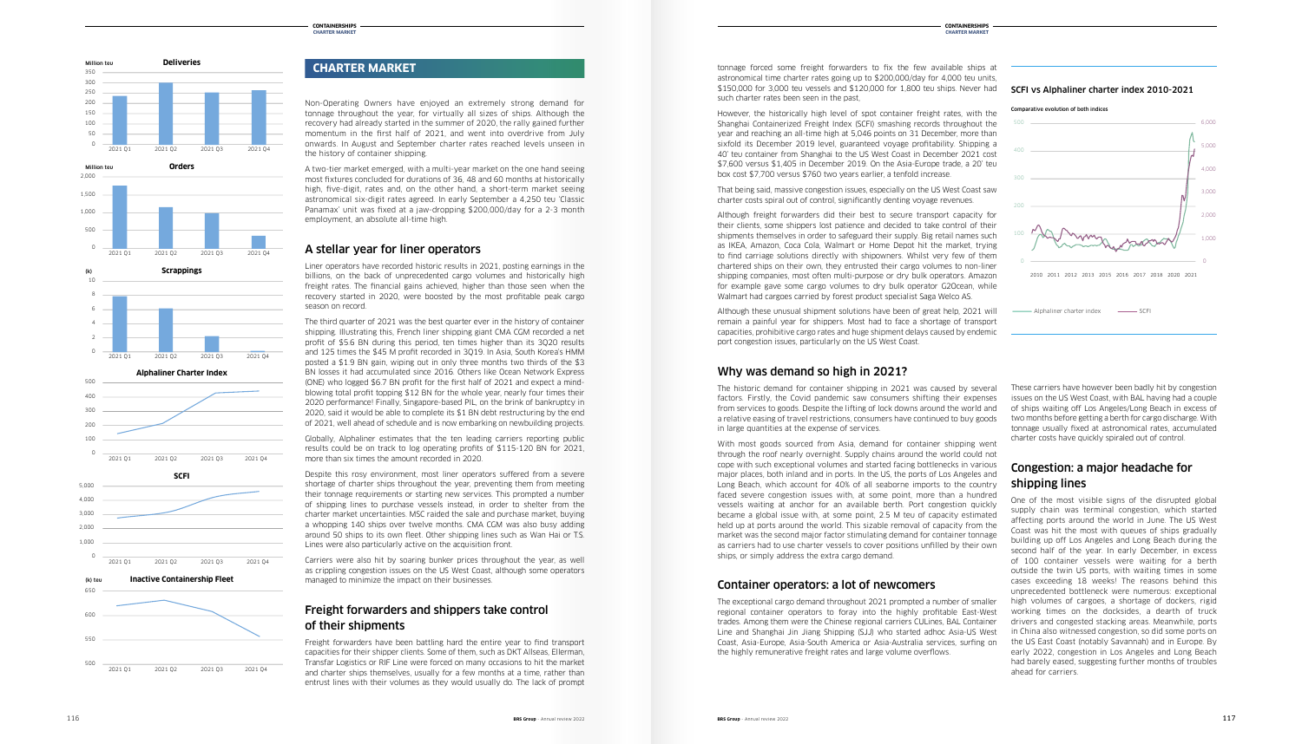Non-Operating Owners have enjoyed an extremely strong demand for tonnage throughout the year, for virtually all sizes of ships. Although the recovery had already started in the summer of 2020, the rally gained further momentum in the first half of 2021, and went into overdrive from July onwards. In August and September charter rates reached levels unseen in the history of container shipping.

A two-tier market emerged, with a multi-year market on the one hand seeing most fixtures concluded for durations of 36, 48 and 60 months at historically high, five-digit, rates and, on the other hand, a short-term market seeing astronomical six-digit rates agreed. In early September a 4,250 teu 'Classic Panamax' unit was fixed at a jaw-dropping \$200,000/day for a 2-3 month employment, an absolute all-time high.

# A stellar year for liner operators

Liner operators have recorded historic results in 2021, posting earnings in the billions, on the back of unprecedented cargo volumes and historically high freight rates. The financial gains achieved, higher than those seen when the recovery started in 2020, were boosted by the most profitable peak cargo season on record.

Despite this rosy environment, most liner operators suffered from a severe shortage of charter ships throughout the year, preventing them from meeting their tonnage requirements or starting new services. This prompted a number of shipping lines to purchase vessels instead, in order to shelter from the charter market uncertainties. MSC raided the sale and purchase market, buying a whopping 140 ships over twelve months. CMA CGM was also busy adding around 50 ships to its own fleet. Other shipping lines such as Wan Hai or T.S. Lines were also particularly active on the acquisition front.

Carriers were also hit by soaring bunker prices throughout the year, as well as crippling congestion issues on the US West Coast, although some operators managed to minimize the impact on their businesses.

The third quarter of 2021 was the best quarter ever in the history of container shipping. Illustrating this, French liner shipping giant CMA CGM recorded a net profit of \$5.6 BN during this period, ten times higher than its 3Q20 results and 125 times the \$45 M profit recorded in 3Q19. In Asia, South Korea's HMM posted a \$1.9 BN gain, wiping out in only three months two thirds of the \$3 BN losses it had accumulated since 2016. Others like Ocean Network Express (ONE) who logged \$6.7 BN profit for the first half of 2021 and expect a mindblowing total profit topping \$12 BN for the whole year, nearly four times their 2020 performance! Finally, Singapore-based PIL, on the brink of bankruptcy in 2020, said it would be able to complete its \$1 BN debt restructuring by the end of 2021, well ahead of schedule and is now embarking on newbuilding projects.

Globally, Alphaliner estimates that the ten leading carriers reporting public results could be on track to log operating profits of \$115-120 BN for 2021, more than six times the amount recorded in 2020.

Comparative evolution of both indices



# Freight forwarders and shippers take control of their shipments

Freight forwarders have been battling hard the entire year to find transport capacities for their shipper clients. Some of them, such as DKT Allseas, Ellerman, Transfar Logistics or RIF Line were forced on many occasions to hit the market and charter ships themselves, usually for a few months at a time, rather than entrust lines with their volumes as they would usually do. The lack of prompt

# **CHARTER MARKET**

# SCFI vs Alphaliner charter index 2010-2021 **SCFI vs Alphaliner Charter Index 20010-2021**

r<br>t<br>ר The exceptional cargo demand throughout 2021 prompted a number of smaller regional container operators to foray into the highly profitable East-West trades. Among them were the Chinese regional carriers CULines, BAL Container Line and Shanghai Jin Jiang Shipping (SJJ) who started adhoc Asia-US West Coast, Asia-Europe, Asia-South America or Asia-Australia services, surfing on the highly remunerative freight rates and large volume overflows.

tonnage forced some freight forwarders to fix the few available ships at astronomical time charter rates going up to \$200,000/day for 4,000 teu units, \$150,000 for 3,000 teu vessels and \$120,000 for 1,800 teu ships. Never had such charter rates been seen in the past,

> ahead for carriers. early 2022, congestion in Los Angeles and Long Beach 2 0 0 in China also witnessed congestion, so did some ports on working times on the docksides, a dearth of truck 4 0 0 unprecedented bottleneck were numerous: exceptional 5 0 0 outside the twin US ports, with waiting times in some second nair or the year. In early December, in excess<br>of 100 container vessels were waiting for a berth One of the most visible signs of the disrupted global supply chain was terminal congestion, which started affecting ports around the world in June. The US West Coast was hit the most with queues of ships gradually building up off Los Angeles and Long Beach during the second half of the year. In early December, in excess cases exceeding 18 weeks! The reasons behind this high volumes of cargoes, a shortage of dockers, rigid drivers and congested stacking areas. Meanwhile, ports the US East Coast (notably Savannah) and in Europe. By had barely eased, suggesting further months of troubles

However, the historically high level of spot container freight rates, with the Shanghai Containerized Freight Index (SCFI) smashing records throughout the year and reaching an all-time high at 5,046 points on 31 December, more than sixfold its December 2019 level, guaranteed voyage profitability. Shipping a 40' teu container from Shanghai to the US West Coast in December 2021 cost \$7,600 versus \$1,405 in December 2019. On the Asia-Europe trade, a 20' teu box cost \$7,700 versus \$760 two years earlier, a tenfold increase.

That being said, massive congestion issues, especially on the US West Coast saw charter costs spiral out of control, significantly denting voyage revenues.

Although freight forwarders did their best to secure transport capacity for their clients, some shippers lost patience and decided to take control of their shipments themselves in order to safeguard their supply. Big retail names such as IKEA, Amazon, Coca Cola, Walmart or Home Depot hit the market, trying to find carriage solutions directly with shipowners. Whilst very few of them chartered ships on their own, they entrusted their cargo volumes to non-liner shipping companies, most often multi-purpose or dry bulk operators. Amazon for example gave some cargo volumes to dry bulk operator G2Ocean, while Walmart had cargoes carried by forest product specialist Saga Welco AS.

Although these unusual shipment solutions have been of great help, 2021 will remain a painful year for shippers. Most had to face a shortage of transport capacities, prohibitive cargo rates and huge shipment delays caused by endemic port congestion issues, particularly on the US West Coast.

# Why was demand so high in 2021?

The historic demand for container shipping in 2021 was caused by several factors. Firstly, the Covid pandemic saw consumers shifting their expenses from services to goods. Despite the lifting of lock downs around the world and a relative easing of travel restrictions, consumers have continued to buy goods in large quantities at the expense of services.

With most goods sourced from Asia, demand for container shipping went through the roof nearly overnight. Supply chains around the world could not cope with such exceptional volumes and started facing bottlenecks in various major places, both inland and in ports. In the US, the ports of Los Angeles and Long Beach, which account for 40% of all seaborne imports to the country faced severe congestion issues with, at some point, more than a hundred vessels waiting at anchor for an available berth. Port congestion quickly became a global issue with, at some point, 2.5 M teu of capacity estimated held up at ports around the world. This sizable removal of capacity from the market was the second major factor stimulating demand for container tonnage as carriers had to use charter vessels to cover positions unfilled by their own ships, or simply address the extra cargo demand.

# Container operators: a lot of newcomers









2021 Q1 2021 Q2 2021 Q3 2021 Q4

500

500

These carriers have however been badly hit by congestion issues on the US West Coast, with BAL having had a couple of ships waiting off Los Angeles/Long Beach in excess of two months before getting a berth for cargo discharge. With tonnage usually fixed at astronomical rates, accumulated charter costs have quickly spiraled out of control.

# Congestion: a major headache for shipping lines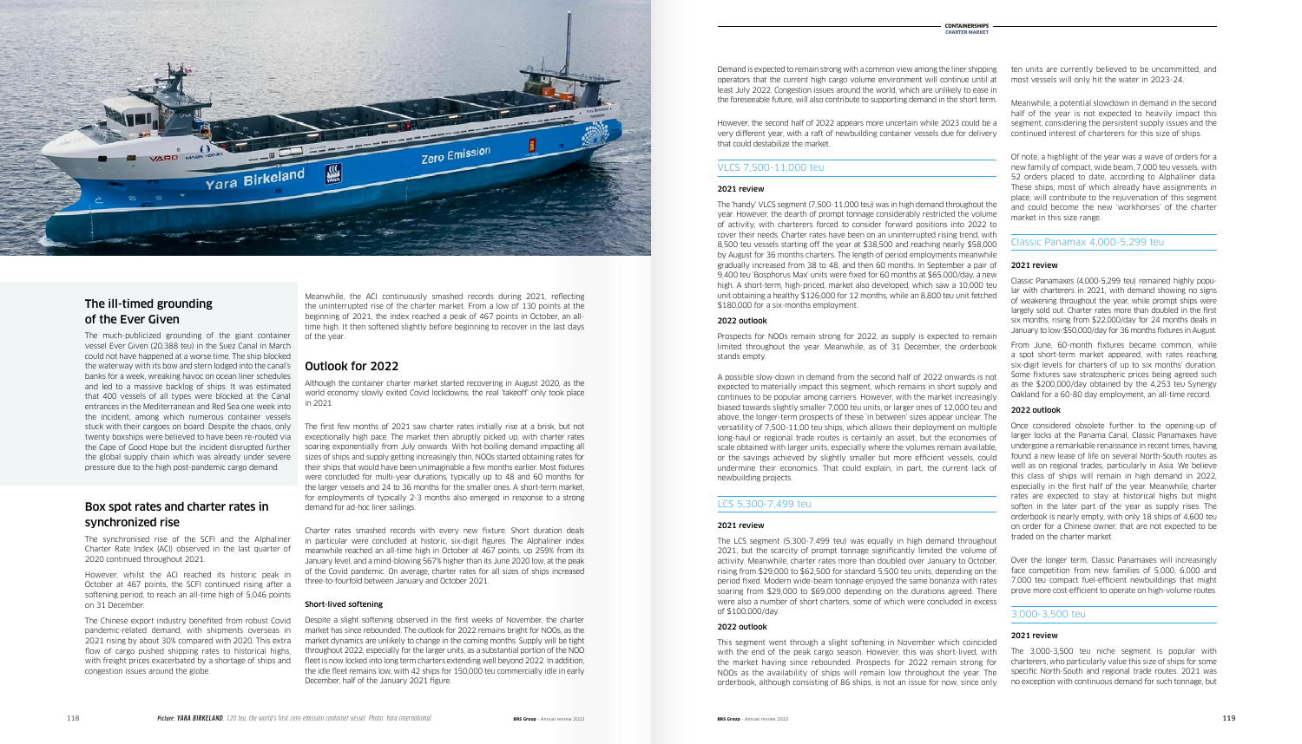Meanwhile, the ACI continuously smashed records during 2021, reflecting the uninterrupted rise of the charter market. From a low of 130 points at the beginning of 2021, the index reached a peak of 467 points in October, an alltime high. It then softened slightly before beginning to recover in the last days of the year.

# Outlook for 2022

Although the container charter market started recovering in August 2020, as the world economy slowly exited Covid lockdowns, the real 'takeoff' only took place in 2021.

The first few months of 2021 saw charter rates initially rise at a brisk, but not exceptionally high pace. The market then abruptly picked up, with charter rates soaring exponentially from July onwards. With hot-boiling demand impacting all sizes of ships and supply getting increasingly thin, NOOs started obtaining rates for their ships that would have been unimaginable a few months earlier. Most fixtures were concluded for multi-year durations, typically up to 48 and 60 months for the larger vessels and 24 to 36 months for the smaller ones. A short-term market, for employments of typically 2-3 months also emerged in response to a strong demand for ad-hoc liner sailings.

Charter rates smashed records with every new fixture. Short duration deals in particular were concluded at historic, six-digit figures. The Alphaliner index meanwhile reached an all-time high in October at 467 points, up 259% from its January level, and a mind-blowing 567% higher than its June 2020 low, at the peak of the Covid pandemic. On average, charter rates for all sizes of ships increased three-to-fourfold between January and October 2021.

### Short-lived softening

Despite a slight softening observed in the first weeks of November, the charter market has since rebounded. The outlook for 2022 remains bright for NOOs, as the market dynamics are unlikely to change in the coming months. Supply will be tight throughout 2022, especially for the larger units, as a substantial portion of the NOO fleet is now locked into long term charters extending well beyond 2022. In addition, the idle fleet remains low, with 42 ships for 150,000 teu commercially idle in early December, half of the January 2021 figure.

Demand is expected to remain strong with a common view among the liner shipping operators that the current high cargo volume environment will continue until at least July 2022. Congestion issues around the world, which are unlikely to ease in the foreseeable future, will also contribute to supporting demand in the short term.

However, the second half of 2022 appears more uncertain while 2023 could be a very different year, with a raft of newbuilding container vessels due for delivery that could destabilize the market.

### VLCS 7,500-11,000 teu

### 2021 review

The 'handy' VLCS segment (7,500-11,000 teu) was in high demand throughout the year. However, the dearth of prompt tonnage considerably restricted the volume of activity, with charterers forced to consider forward positions into 2022 to cover their needs. Charter rates have been on an uninterrupted rising trend, with 8,500 teu vessels starting off the year at \$38,500 and reaching nearly \$58,000 by August for 36 months charters. The length of period employments meanwhile gradually increased from 38 to 48, and then 60 months. In September a pair of 9,400 teu 'Bosphorus Max' units were fixed for 60 months at \$65,000/day, a new high. A short-term, high-priced, market also developed, which saw a 10,000 teu unit obtaining a healthy \$126,000 for 12 months, while an 8,800 teu unit fetched \$180,000 for a six-months employment.

### 2022 outlook

Prospects for NOOs remain strong for 2022, as supply is expected to remain limited throughout the year. Meanwhile, as of 31 December, the orderbook stands empty.

A possible slow-down in demand from the second half of 2022 onwards is not expected to materially impact this segment, which remains in short supply and continues to be popular among carriers. However, with the market increasingly biased towards slightly smaller 7,000 teu units, or larger ones of 12,000 teu and above, the longer-term prospects of these 'in between' sizes appear unclear. The versatility of 7,500-11,00 teu ships, which allows their deployment on multiple long-haul or regional trade routes is certainly an asset, but the economies of scale obtained with larger units, especially where the volumes remain available, or the savings achieved by slightly smaller but more efficient vessels, could undermine their economics. That could explain, in part, the current lack of newbuilding projects.

### LCS 5,300-7,499 teu

### 2021 review



# of the Ever Given The ill-timed grounding

The much-publicized grounding of the giant container vessel Ever Given (20.388 teu) in the Suez Canal in March could not have happened at a worse time. The ship blocked the waterway with its bow and stern lodged into the canal's banks for a week, wreaking havoc on ocean liner schedules and led to a massive backlog of ships. It was estimated that 400 vessels of all types were blocked at the Canal entrances in the Mediterranean and Red Sea one week into the incident, among which numerous container vessels stuck with their cargoes on board. Despite the chaos, only twenty boxships were believed to have been re-routed via the Cape of Good Hope but the incident disrupted further the global supply chain which was already under severe pressure due to the high post-pandemic cargo demand. vessel Ever Given (20,388 teu) in the Suez Canal in March<br>could not have happened at a worse time. The ship blocked<br>the waterway with its bow and stern lodged into the canal's<br>banks for a week, wreaking havoc on ocean line

> The LCS segment (5,300-7,499 teu) was equally in high demand throughout 2021, but the scarcity of prompt tonnage significantly limited the volume of activity. Meanwhile, charter rates more than doubled over January to October, rising from \$29,000 to \$62,500 for standard 5,500 teu units, depending on the period fixed. Modern wide-beam tonnage enjoyed the same bonanza with rates soaring from \$29,000 to \$69,000 depending on the durations agreed. There were also a number of short charters, some of which were concluded in excess of \$100,000/day.

### 2022 outlook

This segment went through a slight softening in November which coincided with the end of the peak cargo season. However, this was short-lived, with the market having since rebounded. Prospects for 2022 remain strong for NOOs as the availability of ships will remain low throughout the year. The orderbook, although consisting of 86 ships, is not an issue for now, since only

ten units are currently believed to be uncommitted, and most vessels will only hit the water in 2023-24.

Meanwhile, a potential slowdown in demand in the second half of the year is not expected to heavily impact this segment, considering the persistent supply issues and the continued interest of charterers for this size of ships.

Of note, a highlight of the year was a wave of orders for a new family of compact, wide beam, 7,000 teu vessels, with 52 orders placed to date, according to Alphaliner data. These ships, most of which already have assignments in place, will contribute to the rejuvenation of this segment and could become the new 'workhorses' of the charter market in this size range.

### Classic Panamax 4,000-5,299 teu

### 2021 review

Classic Panamaxes (4,000-5,299 teu) remained highly popular with charterers in 2021, with demand showing no signs of weakening throughout the year, while prompt ships were largely sold out. Charter rates more than doubled in the first six months, rising from \$22,000/day for 24 months deals in January to low-\$50,000/day for 36 months fixtures in August.

From June, 60-month fixtures became common, while a spot short-term market appeared, with rates reaching six-digit levels for charters of up to six months' duration. Some fixtures saw stratospheric prices being agreed such as the \$200,000/day obtained by the 4,253 teu Synergy Oakland for a 60-80 day employment, an all-time record.

### 2022 outlook

Once considered obsolete further to the opening-up of larger locks at the Panama Canal, Classic Panamaxes have undergone a remarkable renaissance in recent times, having found a new lease of life on several North-South routes as well as on regional trades, particularly in Asia. We believe this class of ships will remain in high demand in 2022, especially in the first half of the year. Meanwhile, charter rates are expected to stay at historical highs but might soften in the later part of the year as supply rises. The orderbook is nearly empty, with only 18 ships of 4,600 teu on order for a Chinese owner, that are not expected to be traded on the charter market.

Over the longer term, Classic Panamaxes will increasingly face competition from new families of 5,000, 6,000 and 7,000 teu compact fuel-efficient newbuildings that might prove more cost-efficient to operate on high-volume routes.

### 3,000-3,500 teu

### 2021 review

The 3,000-3,500 teu niche segment is popular with charterers, who particularly value this size of ships for some specific North-South and regional trade routes. 2021 was no exception with continuous demand for such tonnage, but

# Box spot rates and charter rates in synchronized rise

The synchronised rise of the SCFI and the Alphaliner Charter Rate Index (ACI) observed in the last quarter of 2020 continued throughout 2021.

However, whilst the ACI reached its historic peak in October at 467 points, the SCFI continued rising after a softening period, to reach an all-time high of 5,046 points on 31 December.

The Chinese export industry benefited from robust Covid pandemic-related demand, with shipments overseas in 2021 rising by about 30% compared with 2020. This extra flow of cargo pushed shipping rates to historical highs, with freight prices exacerbated by a shortage of ships and congestion issues around the globe.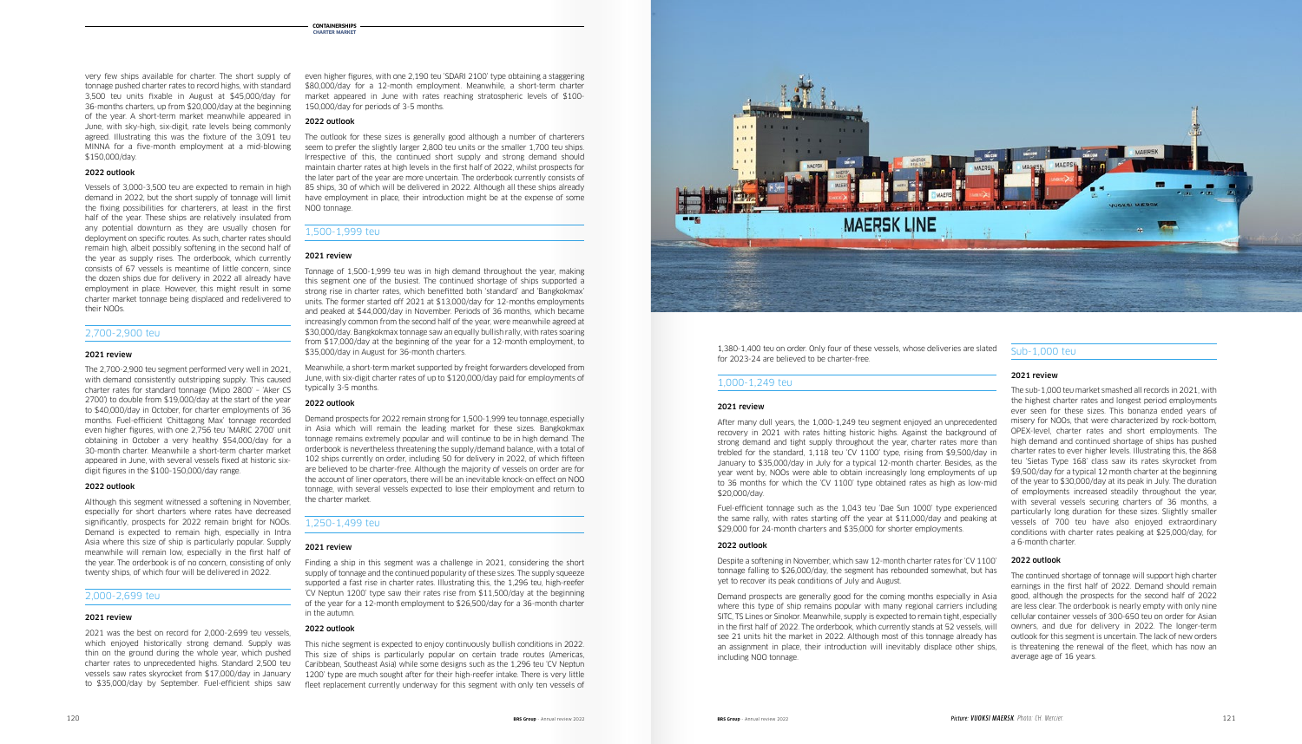even higher figures, with one 2,190 teu 'SDARI 2100' type obtaining a staggering \$80,000/day for a 12-month employment. Meanwhile, a short-term charter market appeared in June with rates reaching stratospheric levels of \$100- 150,000/day for periods of 3-5 months.

### 2022 outlook

The outlook for these sizes is generally good although a number of charterers seem to prefer the slightly larger 2,800 teu units or the smaller 1,700 teu ships. Irrespective of this, the continued short supply and strong demand should maintain charter rates at high levels in the first half of 2022, whilst prospects for the later part of the year are more uncertain. The orderbook currently consists of 85 ships, 30 of which will be delivered in 2022. Although all these ships already have employment in place, their introduction might be at the expense of some NOO tonnage.

### 1,500-1,999 teu

### 2021 review

Tonnage of 1,500-1,999 teu was in high demand throughout the year, making this segment one of the busiest. The continued shortage of ships supported a strong rise in charter rates, which benefitted both 'standard' and 'Bangkokmax' units. The former started off 2021 at \$13,000/day for 12-months employments and peaked at \$44,000/day in November. Periods of 36 months, which became increasingly common from the second half of the year, were meanwhile agreed at \$30,000/day. Bangkokmax tonnage saw an equally bullish rally, with rates soaring from \$17,000/day at the beginning of the year for a 12-month employment, to \$35,000/day in August for 36-month charters.

Meanwhile, a short-term market supported by freight forwarders developed from June, with six-digit charter rates of up to \$120,000/day paid for employments of typically 3-5 months.

### 2022 outlook

Demand prospects for 2022 remain strong for 1,500-1,999 teu tonnage, especially in Asia which will remain the leading market for these sizes. Bangkokmax tonnage remains extremely popular and will continue to be in high demand. The orderbook is nevertheless threatening the supply/demand balance, with a total of 102 ships currently on order, including 50 for delivery in 2022, of which fifteen are believed to be charter-free. Although the majority of vessels on order are for the account of liner operators, there will be an inevitable knock-on effect on NOO tonnage, with several vessels expected to lose their employment and return to the charter market.

### 1,250-1,499 teu

### 2021 review

Finding a ship in this segment was a challenge in 2021, considering the short supply of tonnage and the continued popularity of these sizes. The supply squeeze supported a fast rise in charter rates. Illustrating this, the 1,296 teu, high-reefer 'CV Neptun 1200' type saw their rates rise from \$11,500/day at the beginning of the year for a 12-month employment to \$26,500/day for a 36-month charter in the autumn.

### 2022 outlook

This niche segment is expected to enjoy continuously bullish conditions in 2022. This size of ships is particularly popular on certain trade routes (Americas, Caribbean, Southeast Asia) while some designs such as the 1,296 teu 'CV Neptun 1200' type are much sought after for their high-reefer intake. There is very little fleet replacement currently underway for this segment with only ten vessels of



very few ships available for charter. The short supply of tonnage pushed charter rates to record highs, with standard 3,500 teu units fixable in August at \$45,000/day for 36-months charters, up from \$20,000/day at the beginning of the year. A short-term market meanwhile appeared in June, with sky-high, six-digit, rate levels being commonly agreed. Illustrating this was the fixture of the 3,091 teu MINNA for a five-month employment at a mid-blowing \$150,000/day.

### 2022 outlook

Vessels of 3,000-3,500 teu are expected to remain in high demand in 2022, but the short supply of tonnage will limit the fixing possibilities for charterers, at least in the first half of the year. These ships are relatively insulated from any potential downturn as they are usually chosen for deployment on specific routes. As such, charter rates should remain high, albeit possibly softening in the second half of the year as supply rises. The orderbook, which currently consists of 67 vessels is meantime of little concern, since the dozen ships due for delivery in 2022 all already have employment in place. However, this might result in some charter market tonnage being displaced and redelivered to their NOOs.

### 2,700-2,900 teu

### 2021 review

The 2,700-2,900 teu segment performed very well in 2021, with demand consistently outstripping supply. This caused charter rates for standard tonnage ('Mipo 2800' – 'Aker CS 2700') to double from \$19,000/day at the start of the year to \$40,000/day in October, for charter employments of 36 months. Fuel-efficient 'Chittagong Max' tonnage recorded even higher figures, with one 2,756 teu 'MARIC 2700' unit obtaining in October a very healthy \$54,000/day for a 30-month charter. Meanwhile a short-term charter market appeared in June, with several vessels fixed at historic sixdigit figures in the \$100-150,000/day range.

### 2022 outlook

Although this segment witnessed a softening in November, especially for short charters where rates have decreased significantly, prospects for 2022 remain bright for NOOs. Demand is expected to remain high, especially in Intra Asia where this size of ship is particularly popular. Supply meanwhile will remain low, especially in the first half of the year. The orderbook is of no concern, consisting of only twenty ships, of which four will be delivered in 2022.

### 2,000-2,699 teu

### 2021 review

2021 was the best on record for 2,000-2,699 teu vessels, which enjoyed historically strong demand. Supply was thin on the ground during the whole year, which pushed charter rates to unprecedented highs. Standard 2,500 teu vessels saw rates skyrocket from \$17,000/day in January to \$35,000/day by September. Fuel-efficient ships saw

1,380-1,400 teu on order. Only four of these vessels, whose deliveries are slated for 2023-24 are believed to be charter-free.

### 1,000-1,249 teu

### 2021 review

### After many dull years, the 1,000-1,249 teu segment enjoyed an unprecedented recovery in 2021 with rates hitting historic highs. Against the background of strong demand and tight supply throughout the year, charter rates more than trebled for the standard, 1,118 teu 'CV 1100' type, rising from \$9,500/day in January to \$35,000/day in July for a typical 12-month charter. Besides, as the year went by, NOOs were able to obtain increasingly long employments of up

\$20,000/day.

Fuel-efficient tonnage such as the 1,043 teu 'Dae Sun 1000' type experienced the same rally, with rates starting off the year at \$11,000/day and peaking at \$29,000 for 24-month charters and \$35,000 for shorter employments.

### 2022 outlook

Despite a softening in November, which saw 12-month charter rates for 'CV 1100' tonnage falling to \$26,000/day, the segment has rebounded somewhat, but has

yet to recover its peak conditions of July and August.

Demand prospects are generally good for the coming months especially in Asia where this type of ship remains popular with many regional carriers including SITC, TS Lines or Sinokor. Meanwhile, supply is expected to remain tight, especially in the first half of 2022. The orderbook, which currently stands at 52 vessels, will see 21 units hit the market in 2022. Although most of this tonnage already has an assignment in place, their introduction will inevitably displace other ships, including NOO tonnage.

to 36 months for which the 'CV 1100' type obtained rates as high as low-mid of the year to \$30,000/day at its peak in July. The duration The sub-1,000 teu market smashed all records in 2021, with the highest charter rates and longest period employments ever seen for these sizes. This bonanza ended years of misery for NOOs, that were characterized by rock-bottom, OPEX-level, charter rates and short employments. The high demand and continued shortage of ships has pushed charter rates to ever higher levels. Illustrating this, the 868 teu 'Sietas Type 168' class saw its rates skyrocket from \$9,500/day for a typical 12 month charter at the beginning of employments increased steadily throughout the year, with several vessels securing charters of 36 months, a particularly long duration for these sizes. Slightly smaller vessels of 700 teu have also enjoyed extraordinary conditions with charter rates peaking at \$25,000/day, for a 6-month charter.

### Sub-1,000 teu

### 2021 review

### 2022 outlook

The continued shortage of tonnage will support high charter earnings in the first half of 2022. Demand should remain good, although the prospects for the second half of 2022 are less clear. The orderbook is nearly empty with only nine cellular container vessels of 300-650 teu on order for Asian owners, and due for delivery in 2022. The longer-term outlook for this segment is uncertain. The lack of new orders is threatening the renewal of the fleet, which has now an average age of 16 years.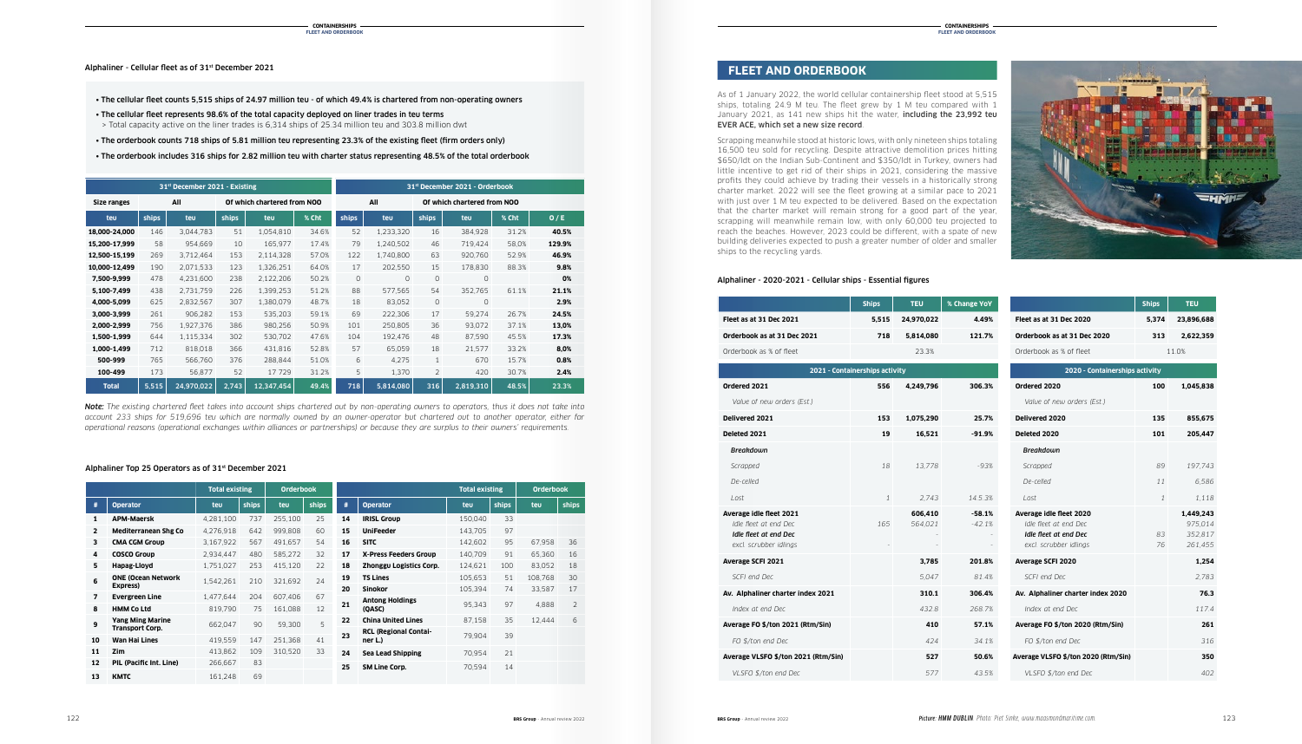Alphaliner - Cellular fleet as of 31st December 2021

|              |                                                | <b>Total existing</b> |              | <b>Orderbook</b> |       |    |                              | <b>Total existing</b> |       | <b>Orderbook</b> |                |
|--------------|------------------------------------------------|-----------------------|--------------|------------------|-------|----|------------------------------|-----------------------|-------|------------------|----------------|
| #            | <b>Operator</b>                                | teu                   | <b>ships</b> | teu              | ships | #  | <b>Operator</b>              | teu                   | ships | teu              | ships          |
| 1            | <b>APM-Maersk</b>                              | 4,281,100             | 737          | 255,100          | 25    | 14 | <b>IRISL Group</b>           | 150,040               | 33    |                  |                |
| $\mathbf{2}$ | <b>Mediterranean Shg Co</b>                    | 4,276,918             | 642          | 999,808          | 60    | 15 | <b>UniFeeder</b>             | 143,705               | 97    |                  |                |
| 3            | <b>CMA CGM Group</b>                           | 3,167,922             | 567          | 491,657          | 54    | 16 | <b>SITC</b>                  | 142,602               | 95    | 67,958           | 36             |
| 4            | <b>COSCO Group</b>                             | 2,934,447             | 480          | 585,272          | 32    | 17 | <b>X-Press Feeders Group</b> | 140,709               | 91    | 65,360           | 16             |
| 5.           | Hapag-Lloyd                                    | 1,751,027             | 253          | 415,120          | 22    | 18 | Zhonggu Logistics Corp.      | 124,621               | 100   | 83,052           | 18             |
| 6            | <b>ONE (Ocean Network</b>                      | 1,542,261             | 210          | 321,692          | 24    | 19 | <b>TS Lines</b>              | 105,653               | 51    | 108,768          | 30             |
|              | Express)                                       |                       |              |                  |       | 20 | <b>Sinokor</b>               | 105,394               | 74    | 33,587           | 17             |
| 7            | <b>Evergreen Line</b>                          | 1.477.644             | 204          | 607.406          | 67    | 21 | <b>Antong Holdings</b>       | 95.343                | 97    | 4.888            | $\overline{2}$ |
| 8            | <b>HMM Co Ltd</b>                              | 819.790               | 75           | 161,088          | 12    |    | (QASC)                       |                       |       |                  |                |
| 9            | <b>Yang Ming Marine</b>                        | 662,047               | 90           | 59,300           | 5     | 22 | <b>China United Lines</b>    | 87,158                | 35    | 12.444           | 6              |
|              | <b>Transport Corp.</b><br><b>Wan Hai Lines</b> |                       |              |                  |       | 23 | <b>RCL (Regional Contai-</b> | 79,904                | 39    |                  |                |
| 10           |                                                | 419,559               | 147          | 251,368          | 41    |    | ner L.)                      |                       |       |                  |                |
| 11           | Zim                                            | 413.862               | 109          | 310.520          | 33    | 24 | <b>Sea Lead Shipping</b>     | 70,954                | 21    |                  |                |
| 12           | PIL (Pacific Int. Line)                        | 266,667               | 83           |                  |       | 25 | <b>SM Line Corp.</b>         | 70,594                | 14    |                  |                |
| 13           | <b>KMTC</b>                                    | 161.248               | 69           |                  |       |    |                              |                       |       |                  |                |

### Alphaliner Top 25 Operators as of 31st December 2021

| 31 <sup>st</sup> December 2021 - Existing |       |                             |       |            | 31st December 2021 - Orderbook |         |                             |         |           |       |        |
|-------------------------------------------|-------|-----------------------------|-------|------------|--------------------------------|---------|-----------------------------|---------|-----------|-------|--------|
| All<br><b>Size ranges</b>                 |       | Of which chartered from NOO |       |            | All                            |         | Of which chartered from NOO |         |           |       |        |
| teu                                       | ships | teu                         | ships | teu        | % Cht                          | ships   | teu                         | ships   | teu       | % Cht | 0/E    |
| 18,000-24,000                             | 146   | 3,044,783                   | 51    | 1,054,810  | 34.6%                          | 52      | 1,233,320                   | 16      | 384,928   | 31.2% | 40.5%  |
| 15,200-17,999                             | 58    | 954,669                     | 10    | 165,977    | 17.4%                          | 79      | 1,240,502                   | 46      | 719,424   | 58,0% | 129.9% |
| 12,500-15,199                             | 269   | 3,712,464                   | 153   | 2,114,328  | 57.0%                          | 122     | 1,740,800                   | 63      | 920,760   | 52.9% | 46.9%  |
| 10,000-12,499                             | 190   | 2,071,533                   | 123   | 1,326,251  | 64.0%                          | 17      | 202,550                     | 15      | 178,830   | 88.3% | 9.8%   |
| 7,500-9,999                               | 478   | 4,231,600                   | 238   | 2,122,206  | 50.2%                          | $\circ$ | $\circ$                     | $\circ$ | $\circ$   |       | 0%     |
| 5,100-7,499                               | 438   | 2,731,759                   | 226   | 1,399,253  | 51.2%                          | 88      | 577,565                     | 54      | 352,765   | 61.1% | 21.1%  |
| 4,000-5,099                               | 625   | 2,832,567                   | 307   | 1,380,079  | 48.7%                          | 18      | 83,052                      | 0       | $\circ$   |       | 2.9%   |
| 3,000-3,999                               | 261   | 906,282                     | 153   | 535,203    | 59.1%                          | 69      | 222,306                     | 17      | 59,274    | 26.7% | 24.5%  |
| 2,000-2,999                               | 756   | 1,927,376                   | 386   | 980,256    | 50.9%                          | 101     | 250,805                     | 36      | 93,072    | 37.1% | 13,0%  |
| 1,500-1,999                               | 644   | 1,115,334                   | 302   | 530,702    | 47.6%                          | 104     | 192,476                     | 48      | 87,590    | 45.5% | 17.3%  |
| 1,000-1,499                               | 712   | 818,018                     | 366   | 431,816    | 52.8%                          | 57      | 65,059                      | 18      | 21,577    | 33.2% | 8,0%   |
| 500-999                                   | 765   | 566,760                     | 376   | 288,844    | 51.0%                          | 6       | 4,275                       | 1       | 670       | 15.7% | 0.8%   |
| 100-499                                   | 173   | 56,877                      | 52    | 17729      | 31.2%                          | 5       | 1,370                       | 2       | 420       | 30.7% | 2.4%   |
| <b>Total</b>                              | 5,515 | 24,970,022                  | 2,743 | 12,347,454 | 49.4%                          | 718     | 5,814,080                   | 316     | 2,819,310 | 48.5% | 23.3%  |

- The cellular fleet counts 5,515 ships of 24.97 million teu of which 49.4% is chartered from non-operating owners
- The cellular fleet represents 98.6% of the total capacity deployed on liner trades in teu terms > Total capacity active on the liner trades is 6,314 ships of 25.34 million teu and 303.8 million dwt
- The orderbook counts 718 ships of 5.81 million teu representing 23.3% of the existing fleet (firm orders only)
- The orderbook includes 316 ships for 2.82 million teu with charter status representing 48.5% of the total orderbook

*Note: The existing chartered fleet takes into account ships chartered out by non-operating owners to operators, thus it does not take into account 233 ships for 519,696 teu which are normally owned by an owner-operator but chartered out to another operator, either for operational reasons (operational exchanges within alliances or partnerships) or because they are surplus to their owners' requirements.*



|                                                                                                     | <b>Ships</b> | <b>TEU</b>         | % Change YoY         |                                                                                                     | <b>Ships</b> | <b>TEU</b>                                 |
|-----------------------------------------------------------------------------------------------------|--------------|--------------------|----------------------|-----------------------------------------------------------------------------------------------------|--------------|--------------------------------------------|
| Fleet as at 31 Dec 2021                                                                             | 5,515        | 24,970,022         | 4.49%                | Fleet as at 31 Dec 2020                                                                             | 5,374        | 23,896,688                                 |
| Orderbook as at 31 Dec 2021                                                                         | 718          | 5,814,080          | 121.7%               | Orderbook as at 31 Dec 2020                                                                         | 313          | 2,622,359                                  |
| Orderbook as % of fleet                                                                             |              | 23.3%              |                      | Orderbook as % of fleet                                                                             |              | 11.0%                                      |
| 2021 - Containerships activity                                                                      |              |                    |                      | 2020 - Containerships activity                                                                      |              |                                            |
| Ordered 2021                                                                                        | 556          | 4,249,796          | 306.3%               | Ordered 2020                                                                                        | 100          | 1,045,838                                  |
| Value of new orders (Est.)                                                                          |              |                    |                      | Value of new orders (Est.)                                                                          |              |                                            |
| Delivered 2021                                                                                      | 153          | 1,075,290          | 25.7%                | Delivered 2020                                                                                      | 135          | 855,675                                    |
| Deleted 2021                                                                                        | 19           | 16,521             | $-91.9%$             | Deleted 2020                                                                                        | 101          | 205,447                                    |
| <b>Breakdown</b>                                                                                    |              |                    |                      | <b>Breakdown</b>                                                                                    |              |                                            |
| Scrapped                                                                                            | 18           | 13,778             | $-93%$               | Scrapped                                                                                            | 89           | 197,743                                    |
| De-celled                                                                                           |              |                    |                      | De-celled                                                                                           | 11           | 6.586                                      |
| Lost                                                                                                | $\mathbf{1}$ | 2.743              | 14.5.3%              | Lost                                                                                                | $\mathbf{1}$ | 1.118                                      |
| Average idle fleet 2021<br>Idle fleet at end Dec<br>Idle fleet at end Dec<br>excl. scrubber idlings | 165          | 606,410<br>564,021 | $-58.1%$<br>$-42.1%$ | Average idle fleet 2020<br>Idle fleet at end Dec<br>Idle fleet at end Dec<br>excl. scrubber idlings | 83<br>76     | 1,449,243<br>975,014<br>352.817<br>261,455 |
| <b>Average SCFI 2021</b>                                                                            |              | 3,785              | 201.8%               | Average SCFI 2020                                                                                   |              | 1,254                                      |
| SCFI end Dec                                                                                        |              | 5.047              | 81.4%                | SCFI end Dec                                                                                        |              | 2.783                                      |
| Av. Alphaliner charter index 2021                                                                   |              | 310.1              | 306.4%               | Av. Alphaliner charter index 2020                                                                   |              | 76.3                                       |
| Index at end Dec                                                                                    |              | 432.8              | 268.7%               | Index at end Dec                                                                                    |              | 117.4                                      |
| Average FO \$/ton 2021 (Rtm/Sin)                                                                    |              | 410                | 57.1%                | Average FO \$/ton 2020 (Rtm/Sin)                                                                    |              | 261                                        |
| FO \$/ton end Dec                                                                                   |              | 424                | 34.1%                | FO \$/ton end Dec                                                                                   |              | 316                                        |
| Average VLSFO \$/ton 2021 (Rtm/Sin)                                                                 |              | 527                | 50.6%                | Average VLSFO \$/ton 2020 (Rtm/Sin)                                                                 |              | 350                                        |
| VLSFO \$/ton end Dec                                                                                |              | 577                | 43.5%                | VLSFO \$/ton end Dec                                                                                |              | 402                                        |

### Alphaliner - 2020-2021 - Cellular ships - Essential figures

As of 1 January 2022, the world cellular containership fleet stood at 5,515 ships, totaling 24.9 M teu. The fleet grew by 1 M teu compared with 1 January 2021, as 141 new ships hit the water, including the 23,992 teu EVER ACE, which set a new size record.

Scrapping meanwhile stood at historic lows, with only nineteen ships totaling 16,500 teu sold for recycling. Despite attractive demolition prices hitting \$650/ldt on the Indian Sub-Continent and \$350/ldt in Turkey, owners had little incentive to get rid of their ships in 2021, considering the massive profits they could achieve by trading their vessels in a historically strong charter market. 2022 will see the fleet growing at a similar pace to 2021 with just over 1 M teu expected to be delivered. Based on the expectation that the charter market will remain strong for a good part of the year, scrapping will meanwhile remain low, with only 60,000 teu projected to reach the beaches. However, 2023 could be different, with a spate of new building deliveries expected to push a greater number of older and smaller ships to the recycling yards.

# **FLEET AND ORDERBOOK**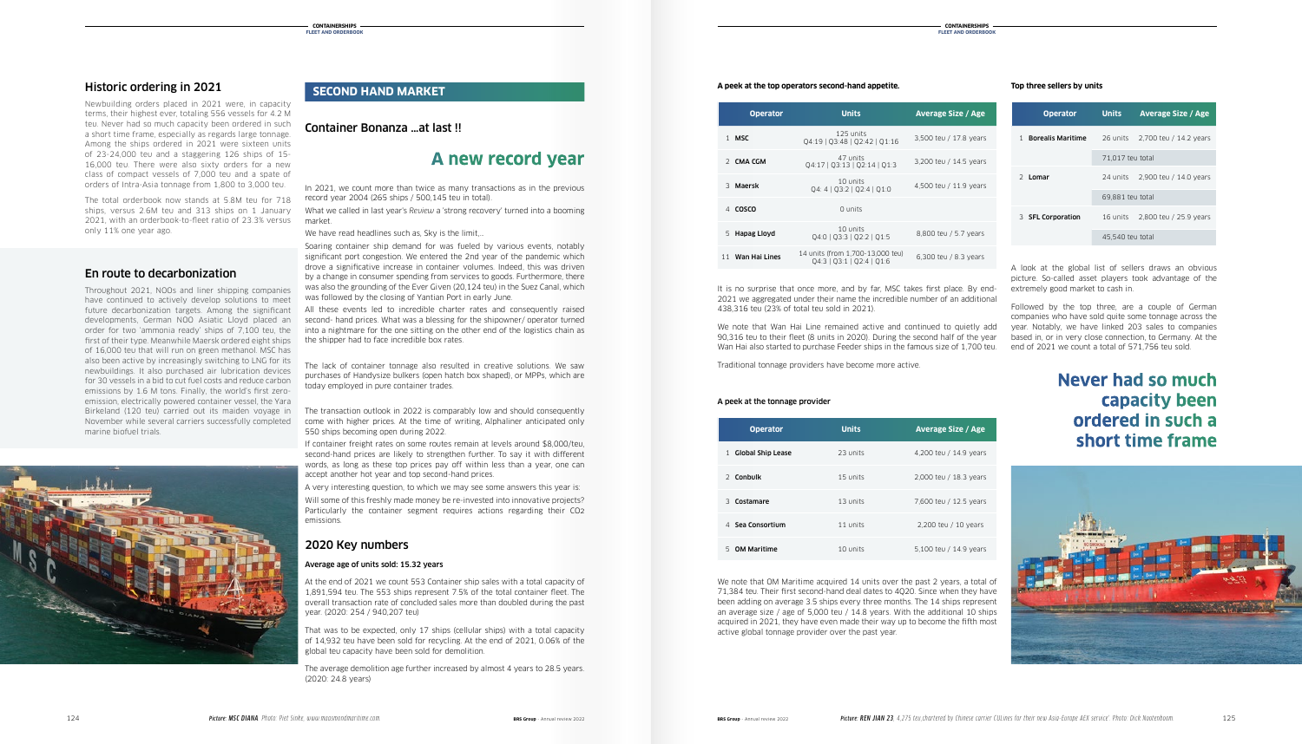# Historic ordering in 2021

Newbuilding orders placed in 2021 were, in capacity terms, their highest ever, totaling 556 vessels for 4.2 M teu. Never had so much capacity been ordered in such a short time frame, especially as regards large tonnage. Among the ships ordered in 2021 were sixteen units of 23-24,000 teu and a staggering 126 ships of 15- 16,000 teu. There were also sixty orders for a new class of compact vessels of 7,000 teu and a spate of orders of Intra-Asia tonnage from 1,800 to 3,000 teu.

The total orderbook now stands at 5.8M teu for 718 ships, versus 2.6M teu and 313 ships on 1 January 2021, with an orderbook-to-fleet ratio of 23.3% versus only 11% one year ago.

# En route to decarbonization

Throughout 2021, NOOs and liner shipping companies have continued to actively develop solutions to meet future decarbonization targets. Among the significant developments, German NOO Asiatic Lloyd placed an order for two 'ammonia ready' ships of 7,100 teu, the first of their type. Meanwhile Maersk ordered eight ships of 16,000 teu that will run on green methanol. MSC has also been active by increasingly switching to LNG for its newbuildings. It also purchased air lubrication devices for 30 vessels in a bid to cut fuel costs and reduce carbon emissions by 1.6 M tons. Finally, the world's first zeroemission, electrically powered container vessel, the Yara Birkeland (120 teu) carried out its maiden voyage in November while several carriers successfully completed marine biofuel trials.



### Container Bonanza …at last !!

# **A new record year**

In 2021, we count more than twice as many transactions as in the previous record year 2004 (265 ships / 500,145 teu in total).

What we called in last year's *Review* a 'strong recovery' turned into a booming market.

We have read headlines such as, Sky is the limit,...

Soaring container ship demand for was fueled by various events, notably significant port congestion. We entered the 2nd year of the pandemic which drove a significative increase in container volumes. Indeed, this was driven by a change in consumer spending from services to goods. Furthermore, there was also the grounding of the Ever Given (20,124 teu) in the Suez Canal, which was followed by the closing of Yantian Port in early June.

All these events led to incredible charter rates and consequently raised second- hand prices. What was a blessing for the shipowner/ operator turned into a nightmare for the one sitting on the other end of the logistics chain as the shipper had to face incredible box rates.

The lack of container tonnage also resulted in creative solutions. We saw purchases of Handysize bulkers (open hatch box shaped), or MPPs, which are today employed in pure container trades.

The transaction outlook in 2022 is comparably low and should consequently come with higher prices. At the time of writing, Alphaliner anticipated only 550 ships becoming open during 2022.

If container freight rates on some routes remain at levels around \$8,000/teu, second-hand prices are likely to strengthen further. To say it with different words, as long as these top prices pay off within less than a year, one can accept another hot year and top second-hand prices.

A very interesting question, to which we may see some answers this year is:

Will some of this freshly made money be re-invested into innovative projects? Particularly the container segment requires actions regarding their CO2 emissions.

# 2020 Key numbers

### Average age of units sold: 15.32 years

At the end of 2021 we count 553 Container ship sales with a total capacity of 1,891,594 teu. The 553 ships represent 7.5% of the total container fleet. The overall transaction rate of concluded sales more than doubled during the past year. (2020: 254 / 940,207 teu)

That was to be expected, only 17 ships (cellular ships) with a total capacity of 14,932 teu have been sold for recycling. At the end of 2021, 0.06% of the global teu capacity have been sold for demolition.

The average demolition age further increased by almost 4 years to 28.5 years. (2020: 24.8 years)

### **SECOND HAND MARKET**

It is no surprise that once more, and by far, MSC takes first place. By end-2021 we aggregated under their name the incredible number of an additional 438,316 teu (23% of total teu sold in 2021).

We note that Wan Hai Line remained active and continued to quietly add 90,316 teu to their fleet (8 units in 2020). During the second half of the year Wan Hai also started to purchase Feeder ships in the famous size of 1,700 teu.

Traditional tonnage providers have become more active.

### A peek at the tonnage provider

A look at the global list of sellers draws an obvious picture. So-called asset players took advantage of the extremely good market to cash in.

Followed by the top three, are a couple of German companies who have sold quite some tonnage across the year. Notably, we have linked 203 sales to companies based in, or in very close connection, to Germany. At the end of 2021 we count a total of 571,756 teu sold.

| <b>Operator</b>   | <b>Units</b>                                                  | <b>Average Size / Age</b> |
|-------------------|---------------------------------------------------------------|---------------------------|
| 1 MSC             | 125 units<br>04:19   03:48   02:42   01:16                    | 3,500 teu / 17.8 years    |
| 2 CMA CGM         | 47 units<br>Q4:17   Q3:13   Q2:14   Q1:3                      | 3,200 teu / 14.5 years    |
| 3 Maersk          | 10 units<br>Q4: 4   Q3:2   Q2:4   Q1:0                        | 4,500 teu / 11.9 years    |
| <b>COSCO</b>      | 0 units                                                       |                           |
| Hapag Lloyd<br>5. | 10 units<br>Q4:0   Q3:3   Q2:2   Q1:5                         | 8,800 teu / 5.7 years     |
| Wan Hai Lines     | 14 units (from 1,700-13,000 teu)<br>04:3   03:1   02:4   01:6 | 6.300 teu / 8.3 years     |

### **A peek at the top operators second-hand appetite.**

We note that OM Maritime acquired 14 units over the past 2 years, a total of 71,384 teu. Their first second-hand deal dates to 4Q20. Since when they have been adding on average 3.5 ships every three months. The 14 ships represent an average size / age of 5,000 teu / 14.8 years. With the additional 10 ships acquired in 2021, they have even made their way up to become the fifth most active global tonnage provider over the past year.

| <b>Operator</b>                          | <b>Units</b> | <b>Average Size / Age</b> |
|------------------------------------------|--------------|---------------------------|
| <b>Global Ship Lease</b><br>$\mathbf{1}$ | 23 units     | 4,200 teu / 14.9 years    |
| 2 Conbulk                                | 15 units     | 2,000 teu / 18.3 years    |
| 3 Costamare                              | 13 units     | 7,600 teu / 12.5 years    |
| Sea Consortium<br>$\Delta$               | 11 units     | 2,200 teu / 10 years      |
| 5 OM Maritime                            | 10 units     | 5.100 teu / 14.9 years    |

|   | <b>Operator</b>          | <b>Units</b>     | <b>Average Size / Age</b>       |  |  |
|---|--------------------------|------------------|---------------------------------|--|--|
| 1 | <b>Borealis Maritime</b> | 26 units         | 2,700 teu / 14.2 years          |  |  |
|   |                          | 71,017 teu total |                                 |  |  |
|   | 2 Lomar                  |                  | 24 units 2,900 teu / 14.0 years |  |  |
|   |                          | 69,881 teu total |                                 |  |  |
|   | 3 <b>SFL Corporation</b> | 16 units         | 2,800 teu / 25.9 years          |  |  |
|   |                          | 45,540 teu total |                                 |  |  |

### **Top three sellers by units**

# **Never had so much capacity been ordered in such a short time frame**